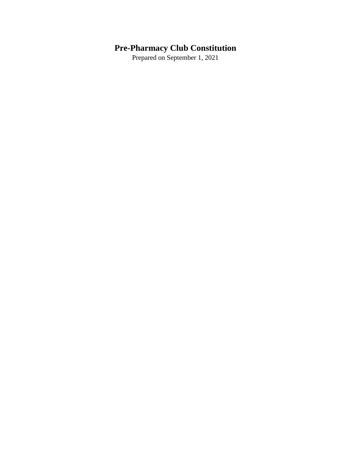# **Pre-Pharmacy Club Constitution**

Prepared on September 1, 2021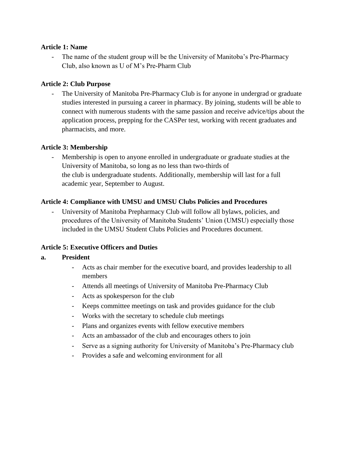## **Article 1: Name**

The name of the student group will be the University of Manitoba's Pre-Pharmacy Club, also known as U of M's Pre-Pharm Club

## **Article 2: Club Purpose**

The University of Manitoba Pre-Pharmacy Club is for anyone in undergrad or graduate studies interested in pursuing a career in pharmacy. By joining, students will be able to connect with numerous students with the same passion and receive advice/tips about the application process, prepping for the CASPer test, working with recent graduates and pharmacists, and more.

## **Article 3: Membership**

Membership is open to anyone enrolled in undergraduate or graduate studies at the University of Manitoba, so long as no less than two-thirds of the club is undergraduate students. Additionally, membership will last for a full academic year, September to August.

## **Article 4: Compliance with UMSU and UMSU Clubs Policies and Procedures**

- University of Manitoba Prepharmacy Club will follow all bylaws, policies, and procedures of the University of Manitoba Students' Union (UMSU) especially those included in the UMSU Student Clubs Policies and Procedures document.

# **Article 5: Executive Officers and Duties**

#### **a. President**

- Acts as chair member for the executive board, and provides leadership to all members
- Attends all meetings of University of Manitoba Pre-Pharmacy Club
- Acts as spokesperson for the club
- Keeps committee meetings on task and provides guidance for the club
- Works with the secretary to schedule club meetings
- Plans and organizes events with fellow executive members
- Acts an ambassador of the club and encourages others to join
- Serve as a signing authority for University of Manitoba's Pre-Pharmacy club
- Provides a safe and welcoming environment for all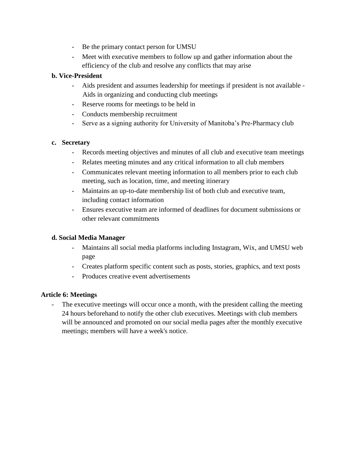- Be the primary contact person for UMSU
- Meet with executive members to follow up and gather information about the efficiency of the club and resolve any conflicts that may arise

# **b. Vice-President**

- Aids president and assumes leadership for meetings if president is not available Aids in organizing and conducting club meetings
- Reserve rooms for meetings to be held in
- Conducts membership recruitment
- Serve as a signing authority for University of Manitoba's Pre-Pharmacy club

## **c. Secretary**

- Records meeting objectives and minutes of all club and executive team meetings
- Relates meeting minutes and any critical information to all club members
- Communicates relevant meeting information to all members prior to each club meeting, such as location, time, and meeting itinerary
- Maintains an up-to-date membership list of both club and executive team, including contact information
- Ensures executive team are informed of deadlines for document submissions or other relevant commitments

# **d. Social Media Manager**

- Maintains all social media platforms including Instagram, Wix, and UMSU web page
- Creates platform specific content such as posts, stories, graphics, and text posts
- Produces creative event advertisements

# **Article 6: Meetings**

The executive meetings will occur once a month, with the president calling the meeting 24 hours beforehand to notify the other club executives. Meetings with club members will be announced and promoted on our social media pages after the monthly executive meetings; members will have a week's notice.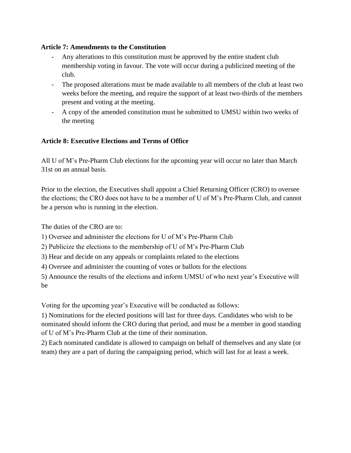# **Article 7: Amendments to the Constitution**

- Any alterations to this constitution must be approved by the entire student club membership voting in favour. The vote will occur during a publicized meeting of the club.
- The proposed alterations must be made available to all members of the club at least two weeks before the meeting, and require the support of at least two-thirds of the members present and voting at the meeting.
- A copy of the amended constitution must be submitted to UMSU within two weeks of the meeting

# **Article 8: Executive Elections and Terms of Office**

All U of M's Pre-Pharm Club elections for the upcoming year will occur no later than March 31st on an annual basis.

Prior to the election, the Executives shall appoint a Chief Returning Officer (CRO) to oversee the elections; the CRO does not have to be a member of U of M's Pre-Pharm Club, and cannot be a person who is running in the election.

The duties of the CRO are to:

1) Oversee and administer the elections for U of M's Pre-Pharm Club

2) Publicize the elections to the membership of U of M's Pre-Pharm Club

3) Hear and decide on any appeals or complaints related to the elections

4) Oversee and administer the counting of votes or ballots for the elections

5) Announce the results of the elections and inform UMSU of who next year's Executive will be

Voting for the upcoming year's Executive will be conducted as follows:

1) Nominations for the elected positions will last for three days. Candidates who wish to be nominated should inform the CRO during that period, and must be a member in good standing of U of M's Pre-Pharm Club at the time of their nomination.

2) Each nominated candidate is allowed to campaign on behalf of themselves and any slate (or team) they are a part of during the campaigning period, which will last for at least a week.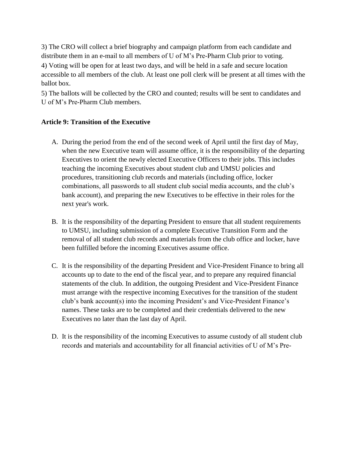3) The CRO will collect a brief biography and campaign platform from each candidate and distribute them in an e-mail to all members of U of M's Pre-Pharm Club prior to voting.

4) Voting will be open for at least two days, and will be held in a safe and secure location accessible to all members of the club. At least one poll clerk will be present at all times with the ballot box.

5) The ballots will be collected by the CRO and counted; results will be sent to candidates and U of M's Pre-Pharm Club members.

## **Article 9: Transition of the Executive**

- A. During the period from the end of the second week of April until the first day of May, when the new Executive team will assume office, it is the responsibility of the departing Executives to orient the newly elected Executive Officers to their jobs. This includes teaching the incoming Executives about student club and UMSU policies and procedures, transitioning club records and materials (including office, locker combinations, all passwords to all student club social media accounts, and the club's bank account), and preparing the new Executives to be effective in their roles for the next year's work.
- B. It is the responsibility of the departing President to ensure that all student requirements to UMSU, including submission of a complete Executive Transition Form and the removal of all student club records and materials from the club office and locker, have been fulfilled before the incoming Executives assume office.
- C. It is the responsibility of the departing President and Vice-President Finance to bring all accounts up to date to the end of the fiscal year, and to prepare any required financial statements of the club. In addition, the outgoing President and Vice-President Finance must arrange with the respective incoming Executives for the transition of the student club's bank account(s) into the incoming President's and Vice-President Finance's names. These tasks are to be completed and their credentials delivered to the new Executives no later than the last day of April.
- D. It is the responsibility of the incoming Executives to assume custody of all student club records and materials and accountability for all financial activities of U of M's Pre-